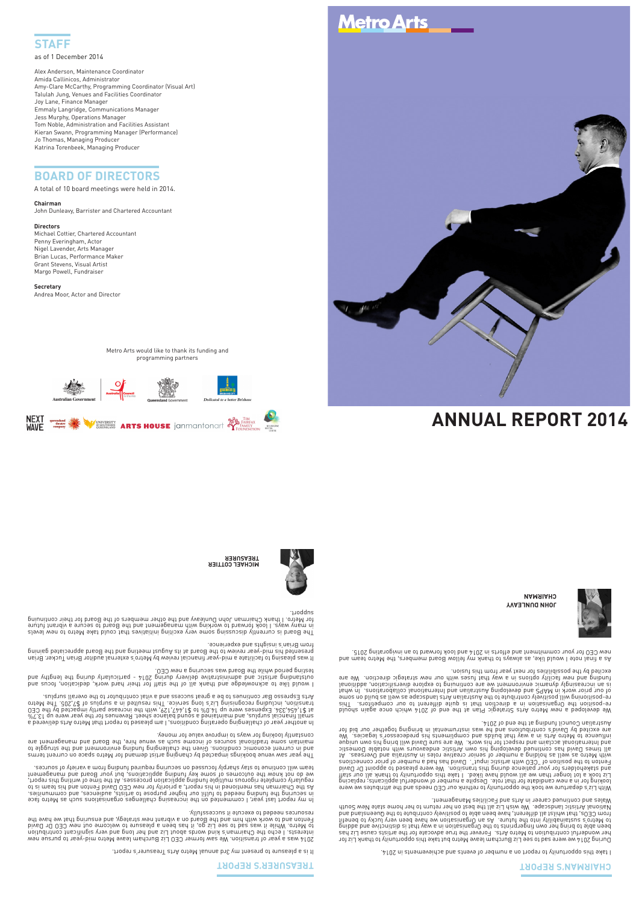

Alex Anderson, Maintenance Coordinator Amida Callinicos, Administrator Amy-Clare McCarthy, Programming Coordinator (Visual Art) Talulah Jung, Venues and Facilities Coordinator Joy Lane, Finance Manager Emmaly Langridge, Communications Manager Jess Murphy, Operations Manager Tom Noble, Administration and Facilities Assistant Kieran Swann, Programming Manager (Performance) Jo Thomas, Managing Producer Katrina Torenbeek, Managing Producer

## **BOARD OF DIRECTORS**

A total of 10 board meetings were held in 2014.

**Chairman** 

John Dunleavy, Barrister and Chartered Accountant

#### **Directors**

Michael Cottier, Chartered Accountant Penny Everingham, Actor Nigel Lavender, Arts Manager Brian Lucas, Performance Maker Grant Stevens, Visual Artist Margo Powell, Fundraiser

#### **Secretary**

Andrea Moor, Actor and Director

## **TREASURER'S REPORT**

It is a pleasure to present my 3rd annual Metro Arts Treasurer's report.

2014 was a year of transition. We saw former CEO Liz Burcham leave Metro mid-year to pursue new interests. I echo the Chairman's kind words about Liz and her long and very significant contribution to Metro. While it was sad to see Liz go, it has been a pleasure to welcome out new CEO Dr David Fenton and to work with him and the Board on a vibrant new strategy, and ensuring that we have the resources needed to execute it successfully.

In my report last year, I commented on the increasing challenges organisations such as Metro face in securing the funding needed to fulfil our higher purpose to artists, audiences, and communities. As the Chairman has mentioned in his report, a priority for new CEO David Fenton and his team is to regularly complete rigorous multiple funding application processes. At the time of writing this report, we do not know the outcomes of some key funding applications, but your Board and management team will continue to stay sharply focussed on securing required funding from a variety of sources.

The year saw venue bookings impacted by changing artist demand for Metro space on current terms and in current economic conditions. Given the challenging funding environment and the struggle to maintain some traditional sources of income such as venue hire, the Board and management are constantly looking for ways to improve value for money.

> During 2014 we were sad to see Liz Burcham leave Metro but take this opportunity to thank Liz for her wonderful contribution to Metro Arts. Forever the true advocate for the artists cause Liz has been able to bring her own fingerprints to the Organisation in a way that is distinctive and adding to Metro's sustainability into the future. As an Organisation we have been very lucky to benefit from CEOs, that whilst all different, have been able to positively contribute to the Queensland and National Artistic landscape. We wish Liz all the best on her return to her home state New South Wales and continued career in Arts and Facilities Management.

In another year of challenging operating conditions, I am pleased to report that Metro Arts delivered a in a seried bursted balance shand balance sheet. As the year were the year were sheet. As the CEO on the CEO<br>130 sht yd betsegmi vltned eesensni ent ntiw ,9S1,744,1≵ ot %0.41 qu enew eesnegx∃ .4S6,434,1≵ te transition, including recognising Liz's long service. This resulted in a surplus of \$7,205. The Metro Arts Espresso Bar continues to be a great success and a vital contributor to the overall surplus.

I would like to acknowledge and thank all of the staff for their hard work, dedication, focus and

We developed a new Metro Arts Strategic Plan at the end of 2014 which once again should re-position the Organisation in a direction that is quite different to our competitors. This re-positioning will positively contribute to the Australian Arts landscape as well as build on some of our prior work in MAPS and developing Australian and International collaborations. In what is an increasingly dynamic environment we are continuing to explore diversification, additional

outstanding artistic and administrative delivery during 2014 - particularly during the lengthy and testing period while the Board was securing a new CEO. As a final note I would like, as always to thank my fellow Board members, the Metro team and  $1310$ S pnitanopivni ne ot bnewnot 1001 bne 4 $10$ S ni 2110119 bne fn $\sigma$ minmmoo nuo $\gamma$  not 030 wen

**JOHN DUNLEAVY CHAIRMAN** 



It was pleasing to facilitate a mid-year financial review by Metro's external auditor Brian Tucker. Brian presented his mid-year review to the Board at its August meeting and the Board appreciated gaining

from Brian's insights and experience.

The Board is currently discussing some very exciting initiatives that could take Metro to new levels in many ways. I look forward to working with management and the Board to secure a vibrant future for Metro. I thank Chairman John Dunleavy and the other members of the Board for their continuing

#### support.

**MICHAEL COTTIER** 



**TREASURER** 



Metro Arts would like to thank its funding and programming partners



# **Metro Arts**



## **ANNUAL REPORT 2014**

### **CHAIRMAN'S REPORT**

I take this opportunity to report on a number of events and achievements in 2014.

With Liz's departure we took the opportunity to rethink our CEO needs and the attributes we were looking for in a new candidate for that role. Despite a number of wonderful applicants; replacing Liz took a lot longer than we all would have liked. I take this opportunity to thank all our staff and stakeholders for your patience during this transition. We were pleased to appoint Dr David Fenton to the position of "CEO with artistic input". David has had a number of prior connections with Metro as well as holding a number of senior creative roles in Australia and Overseas. At all times David has continued developing his own Artistic endeavours with notable Domestic and International acclaim and respect for his work. We are sure David will bring his own unique influence to Metro Arts in a way that builds and compliments his predecessor's legacies. We are excited by David's contributions and he was instrumental in bringing together our bid for Australian Council funding at the end of 2014.

funding and new facility options in a way that fuses with our new strategic direction. We are

excited by the possibilities for next year from this fusion.